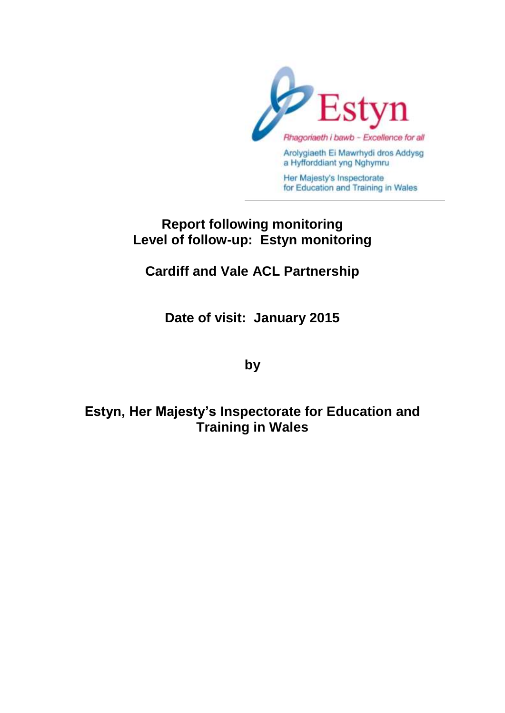

# **Report following monitoring Level of follow-up: Estyn monitoring**

# **Cardiff and Vale ACL Partnership**

**Date of visit: January 2015**

**by** 

**Estyn, Her Majesty's Inspectorate for Education and Training in Wales**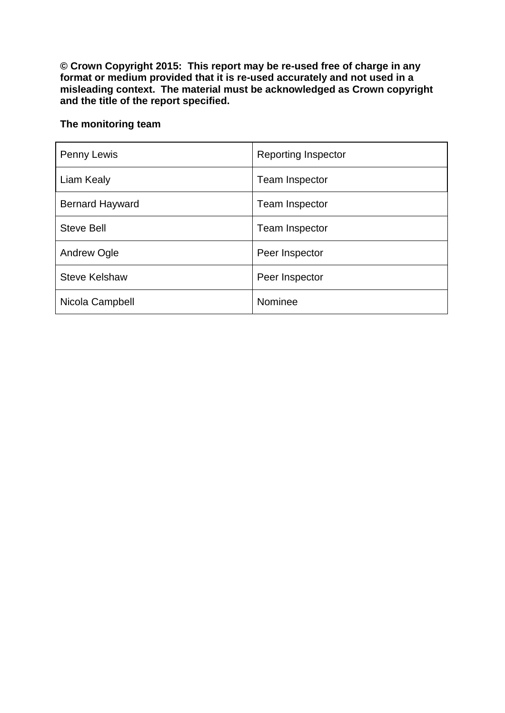**© Crown Copyright 2015: This report may be re-used free of charge in any format or medium provided that it is re-used accurately and not used in a misleading context. The material must be acknowledged as Crown copyright and the title of the report specified.**

# **The monitoring team**

| Penny Lewis            | <b>Reporting Inspector</b> |
|------------------------|----------------------------|
| Liam Kealy             | <b>Team Inspector</b>      |
| <b>Bernard Hayward</b> | <b>Team Inspector</b>      |
| <b>Steve Bell</b>      | <b>Team Inspector</b>      |
| Andrew Ogle            | Peer Inspector             |
| <b>Steve Kelshaw</b>   | Peer Inspector             |
| Nicola Campbell        | Nominee                    |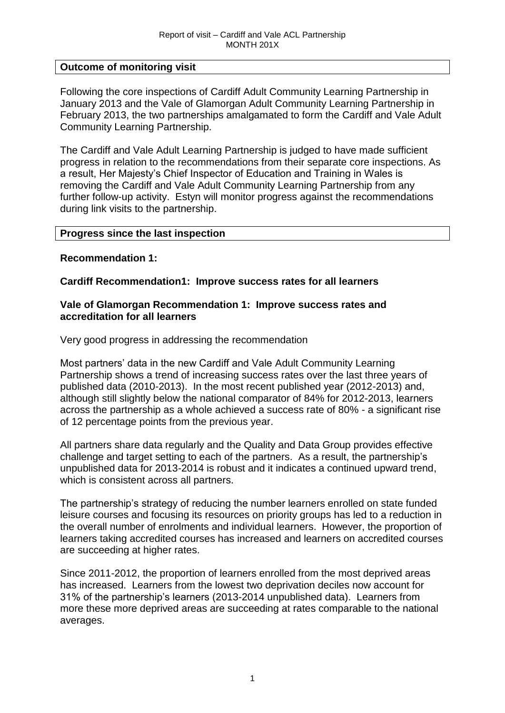#### **Outcome of monitoring visit**

Following the core inspections of Cardiff Adult Community Learning Partnership in January 2013 and the Vale of Glamorgan Adult Community Learning Partnership in February 2013, the two partnerships amalgamated to form the Cardiff and Vale Adult Community Learning Partnership.

The Cardiff and Vale Adult Learning Partnership is judged to have made sufficient progress in relation to the recommendations from their separate core inspections. As a result, Her Majesty's Chief Inspector of Education and Training in Wales is removing the Cardiff and Vale Adult Community Learning Partnership from any further follow-up activity. Estyn will monitor progress against the recommendations during link visits to the partnership.

#### **Progress since the last inspection**

#### **Recommendation 1:**

#### **Cardiff Recommendation1: Improve success rates for all learners**

#### **Vale of Glamorgan Recommendation 1: Improve success rates and accreditation for all learners**

Very good progress in addressing the recommendation

Most partners' data in the new Cardiff and Vale Adult Community Learning Partnership shows a trend of increasing success rates over the last three years of published data (2010-2013). In the most recent published year (2012-2013) and, although still slightly below the national comparator of 84% for 2012-2013, learners across the partnership as a whole achieved a success rate of 80% - a significant rise of 12 percentage points from the previous year.

All partners share data regularly and the Quality and Data Group provides effective challenge and target setting to each of the partners. As a result, the partnership's unpublished data for 2013-2014 is robust and it indicates a continued upward trend, which is consistent across all partners.

The partnership's strategy of reducing the number learners enrolled on state funded leisure courses and focusing its resources on priority groups has led to a reduction in the overall number of enrolments and individual learners. However, the proportion of learners taking accredited courses has increased and learners on accredited courses are succeeding at higher rates.

Since 2011-2012, the proportion of learners enrolled from the most deprived areas has increased. Learners from the lowest two deprivation deciles now account for 31% of the partnership's learners (2013-2014 unpublished data). Learners from more these more deprived areas are succeeding at rates comparable to the national averages.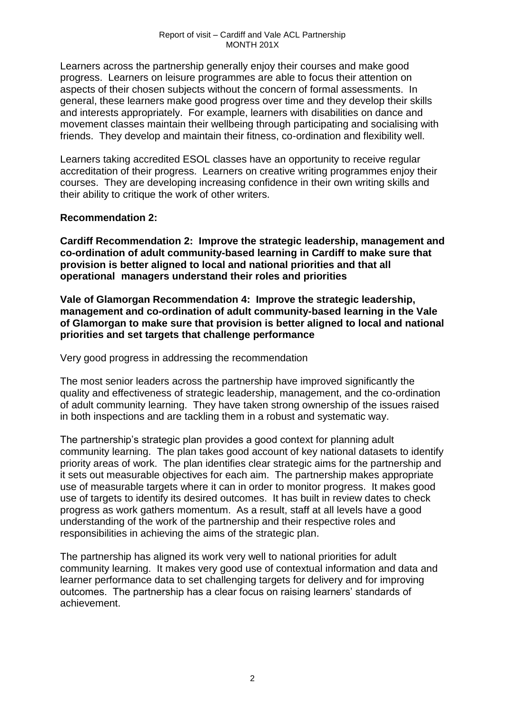Learners across the partnership generally enjoy their courses and make good progress. Learners on leisure programmes are able to focus their attention on aspects of their chosen subjects without the concern of formal assessments. In general, these learners make good progress over time and they develop their skills and interests appropriately. For example, learners with disabilities on dance and movement classes maintain their wellbeing through participating and socialising with friends. They develop and maintain their fitness, co-ordination and flexibility well.

Learners taking accredited ESOL classes have an opportunity to receive regular accreditation of their progress. Learners on creative writing programmes enjoy their courses. They are developing increasing confidence in their own writing skills and their ability to critique the work of other writers.

## **Recommendation 2:**

**Cardiff Recommendation 2: Improve the strategic leadership, management and co-ordination of adult community-based learning in Cardiff to make sure that provision is better aligned to local and national priorities and that all operational managers understand their roles and priorities** 

**Vale of Glamorgan Recommendation 4: Improve the strategic leadership, management and co-ordination of adult community-based learning in the Vale of Glamorgan to make sure that provision is better aligned to local and national priorities and set targets that challenge performance** 

Very good progress in addressing the recommendation

The most senior leaders across the partnership have improved significantly the quality and effectiveness of strategic leadership, management, and the co-ordination of adult community learning. They have taken strong ownership of the issues raised in both inspections and are tackling them in a robust and systematic way.

The partnership's strategic plan provides a good context for planning adult community learning. The plan takes good account of key national datasets to identify priority areas of work. The plan identifies clear strategic aims for the partnership and it sets out measurable objectives for each aim. The partnership makes appropriate use of measurable targets where it can in order to monitor progress. It makes good use of targets to identify its desired outcomes. It has built in review dates to check progress as work gathers momentum. As a result, staff at all levels have a good understanding of the work of the partnership and their respective roles and responsibilities in achieving the aims of the strategic plan.

The partnership has aligned its work very well to national priorities for adult community learning. It makes very good use of contextual information and data and learner performance data to set challenging targets for delivery and for improving outcomes. The partnership has a clear focus on raising learners' standards of achievement.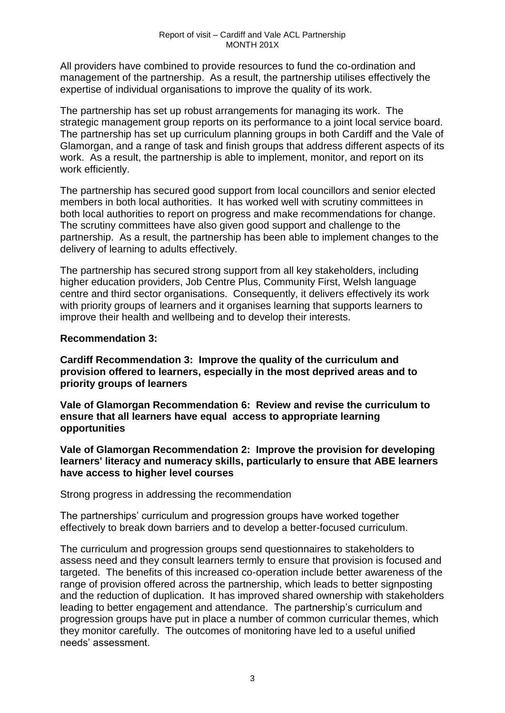All providers have combined to provide resources to fund the co-ordination and management of the partnership. As a result, the partnership utilises effectively the expertise of individual organisations to improve the quality of its work.

The partnership has set up robust arrangements for managing its work. The strategic management group reports on its performance to a joint local service board. The partnership has set up curriculum planning groups in both Cardiff and the Vale of Glamorgan, and a range of task and finish groups that address different aspects of its work. As a result, the partnership is able to implement, monitor, and report on its work efficiently.

The partnership has secured good support from local councillors and senior elected members in both local authorities. It has worked well with scrutiny committees in both local authorities to report on progress and make recommendations for change. The scrutiny committees have also given good support and challenge to the partnership. As a result, the partnership has been able to implement changes to the delivery of learning to adults effectively.

The partnership has secured strong support from all key stakeholders, including higher education providers, Job Centre Plus, Community First, Welsh language centre and third sector organisations. Consequently, it delivers effectively its work with priority groups of learners and it organises learning that supports learners to improve their health and wellbeing and to develop their interests.

#### **Recommendation 3:**

**Cardiff Recommendation 3: Improve the quality of the curriculum and provision offered to learners, especially in the most deprived areas and to priority groups of learners** 

**Vale of Glamorgan Recommendation 6: Review and revise the curriculum to ensure that all learners have equal access to appropriate learning opportunities** 

**Vale of Glamorgan Recommendation 2: Improve the provision for developing learners' literacy and numeracy skills, particularly to ensure that ABE learners have access to higher level courses**

Strong progress in addressing the recommendation

The partnerships' curriculum and progression groups have worked together effectively to break down barriers and to develop a better-focused curriculum.

The curriculum and progression groups send questionnaires to stakeholders to assess need and they consult learners termly to ensure that provision is focused and targeted. The benefits of this increased co-operation include better awareness of the range of provision offered across the partnership, which leads to better signposting and the reduction of duplication. It has improved shared ownership with stakeholders leading to better engagement and attendance. The partnership's curriculum and progression groups have put in place a number of common curricular themes, which they monitor carefully. The outcomes of monitoring have led to a useful unified needs' assessment.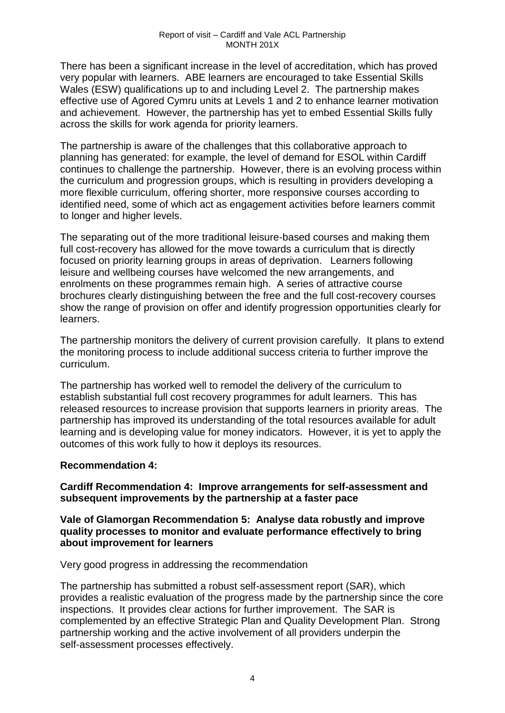There has been a significant increase in the level of accreditation, which has proved very popular with learners. ABE learners are encouraged to take Essential Skills Wales (ESW) qualifications up to and including Level 2. The partnership makes effective use of Agored Cymru units at Levels 1 and 2 to enhance learner motivation and achievement. However, the partnership has yet to embed Essential Skills fully across the skills for work agenda for priority learners.

The partnership is aware of the challenges that this collaborative approach to planning has generated: for example, the level of demand for ESOL within Cardiff continues to challenge the partnership. However, there is an evolving process within the curriculum and progression groups, which is resulting in providers developing a more flexible curriculum, offering shorter, more responsive courses according to identified need, some of which act as engagement activities before learners commit to longer and higher levels.

The separating out of the more traditional leisure-based courses and making them full cost-recovery has allowed for the move towards a curriculum that is directly focused on priority learning groups in areas of deprivation. Learners following leisure and wellbeing courses have welcomed the new arrangements, and enrolments on these programmes remain high. A series of attractive course brochures clearly distinguishing between the free and the full cost-recovery courses show the range of provision on offer and identify progression opportunities clearly for learners.

The partnership monitors the delivery of current provision carefully. It plans to extend the monitoring process to include additional success criteria to further improve the curriculum.

The partnership has worked well to remodel the delivery of the curriculum to establish substantial full cost recovery programmes for adult learners. This has released resources to increase provision that supports learners in priority areas. The partnership has improved its understanding of the total resources available for adult learning and is developing value for money indicators. However, it is yet to apply the outcomes of this work fully to how it deploys its resources.

#### **Recommendation 4:**

**Cardiff Recommendation 4: Improve arrangements for self-assessment and subsequent improvements by the partnership at a faster pace** 

#### **Vale of Glamorgan Recommendation 5: Analyse data robustly and improve quality processes to monitor and evaluate performance effectively to bring about improvement for learners**

Very good progress in addressing the recommendation

The partnership has submitted a robust self-assessment report (SAR), which provides a realistic evaluation of the progress made by the partnership since the core inspections. It provides clear actions for further improvement. The SAR is complemented by an effective Strategic Plan and Quality Development Plan. Strong partnership working and the active involvement of all providers underpin the self-assessment processes effectively.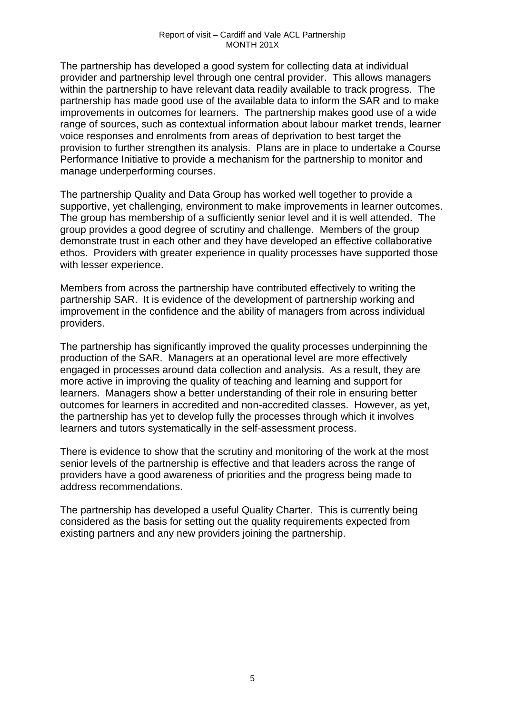The partnership has developed a good system for collecting data at individual provider and partnership level through one central provider. This allows managers within the partnership to have relevant data readily available to track progress. The partnership has made good use of the available data to inform the SAR and to make improvements in outcomes for learners. The partnership makes good use of a wide range of sources, such as contextual information about labour market trends, learner voice responses and enrolments from areas of deprivation to best target the provision to further strengthen its analysis. Plans are in place to undertake a Course Performance Initiative to provide a mechanism for the partnership to monitor and manage underperforming courses.

The partnership Quality and Data Group has worked well together to provide a supportive, yet challenging, environment to make improvements in learner outcomes. The group has membership of a sufficiently senior level and it is well attended. The group provides a good degree of scrutiny and challenge. Members of the group demonstrate trust in each other and they have developed an effective collaborative ethos. Providers with greater experience in quality processes have supported those with lesser experience.

Members from across the partnership have contributed effectively to writing the partnership SAR. It is evidence of the development of partnership working and improvement in the confidence and the ability of managers from across individual providers.

The partnership has significantly improved the quality processes underpinning the production of the SAR. Managers at an operational level are more effectively engaged in processes around data collection and analysis. As a result, they are more active in improving the quality of teaching and learning and support for learners. Managers show a better understanding of their role in ensuring better outcomes for learners in accredited and non-accredited classes. However, as yet, the partnership has yet to develop fully the processes through which it involves learners and tutors systematically in the self-assessment process.

There is evidence to show that the scrutiny and monitoring of the work at the most senior levels of the partnership is effective and that leaders across the range of providers have a good awareness of priorities and the progress being made to address recommendations.

The partnership has developed a useful Quality Charter. This is currently being considered as the basis for setting out the quality requirements expected from existing partners and any new providers joining the partnership.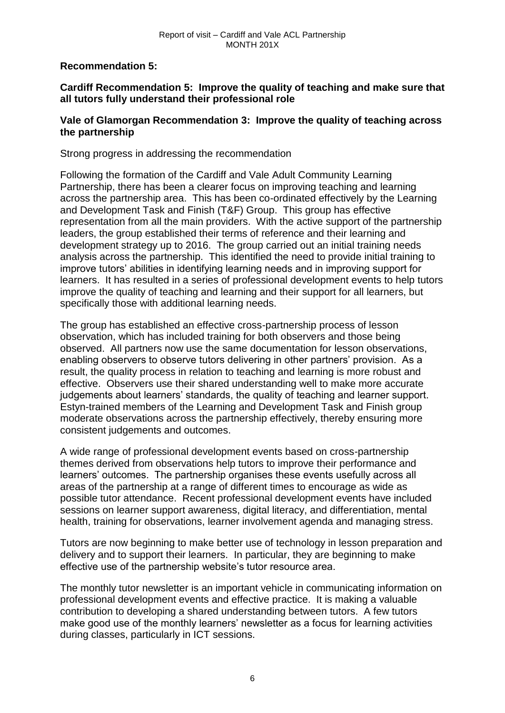**Recommendation 5:** 

# **Cardiff Recommendation 5: Improve the quality of teaching and make sure that all tutors fully understand their professional role**

## **Vale of Glamorgan Recommendation 3: Improve the quality of teaching across the partnership**

Strong progress in addressing the recommendation

Following the formation of the Cardiff and Vale Adult Community Learning Partnership, there has been a clearer focus on improving teaching and learning across the partnership area. This has been co-ordinated effectively by the Learning and Development Task and Finish (T&F) Group. This group has effective representation from all the main providers. With the active support of the partnership leaders, the group established their terms of reference and their learning and development strategy up to 2016. The group carried out an initial training needs analysis across the partnership. This identified the need to provide initial training to improve tutors' abilities in identifying learning needs and in improving support for learners. It has resulted in a series of professional development events to help tutors improve the quality of teaching and learning and their support for all learners, but specifically those with additional learning needs.

The group has established an effective cross-partnership process of lesson observation, which has included training for both observers and those being observed. All partners now use the same documentation for lesson observations, enabling observers to observe tutors delivering in other partners' provision. As a result, the quality process in relation to teaching and learning is more robust and effective. Observers use their shared understanding well to make more accurate judgements about learners' standards, the quality of teaching and learner support. Estyn-trained members of the Learning and Development Task and Finish group moderate observations across the partnership effectively, thereby ensuring more consistent judgements and outcomes.

A wide range of professional development events based on cross-partnership themes derived from observations help tutors to improve their performance and learners' outcomes. The partnership organises these events usefully across all areas of the partnership at a range of different times to encourage as wide as possible tutor attendance. Recent professional development events have included sessions on learner support awareness, digital literacy, and differentiation, mental health, training for observations, learner involvement agenda and managing stress.

Tutors are now beginning to make better use of technology in lesson preparation and delivery and to support their learners. In particular, they are beginning to make effective use of the partnership website's tutor resource area.

The monthly tutor newsletter is an important vehicle in communicating information on professional development events and effective practice. It is making a valuable contribution to developing a shared understanding between tutors. A few tutors make good use of the monthly learners' newsletter as a focus for learning activities during classes, particularly in ICT sessions.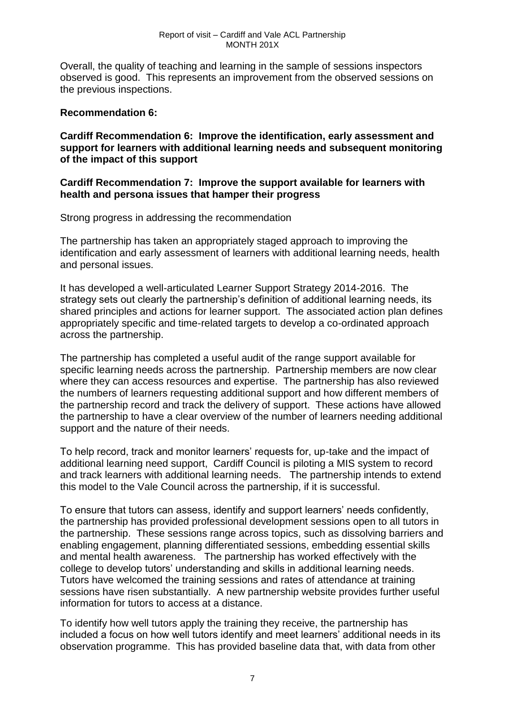Overall, the quality of teaching and learning in the sample of sessions inspectors observed is good. This represents an improvement from the observed sessions on the previous inspections.

#### **Recommendation 6:**

**Cardiff Recommendation 6: Improve the identification, early assessment and support for learners with additional learning needs and subsequent monitoring of the impact of this support** 

#### **Cardiff Recommendation 7: Improve the support available for learners with health and persona issues that hamper their progress**

Strong progress in addressing the recommendation

The partnership has taken an appropriately staged approach to improving the identification and early assessment of learners with additional learning needs, health and personal issues.

It has developed a well-articulated Learner Support Strategy 2014-2016. The strategy sets out clearly the partnership's definition of additional learning needs, its shared principles and actions for learner support. The associated action plan defines appropriately specific and time-related targets to develop a co-ordinated approach across the partnership.

The partnership has completed a useful audit of the range support available for specific learning needs across the partnership. Partnership members are now clear where they can access resources and expertise. The partnership has also reviewed the numbers of learners requesting additional support and how different members of the partnership record and track the delivery of support. These actions have allowed the partnership to have a clear overview of the number of learners needing additional support and the nature of their needs.

To help record, track and monitor learners' requests for, up-take and the impact of additional learning need support, Cardiff Council is piloting a MIS system to record and track learners with additional learning needs. The partnership intends to extend this model to the Vale Council across the partnership, if it is successful.

To ensure that tutors can assess, identify and support learners' needs confidently, the partnership has provided professional development sessions open to all tutors in the partnership. These sessions range across topics, such as dissolving barriers and enabling engagement, planning differentiated sessions, embedding essential skills and mental health awareness. The partnership has worked effectively with the college to develop tutors' understanding and skills in additional learning needs. Tutors have welcomed the training sessions and rates of attendance at training sessions have risen substantially. A new partnership website provides further useful information for tutors to access at a distance.

To identify how well tutors apply the training they receive, the partnership has included a focus on how well tutors identify and meet learners' additional needs in its observation programme. This has provided baseline data that, with data from other